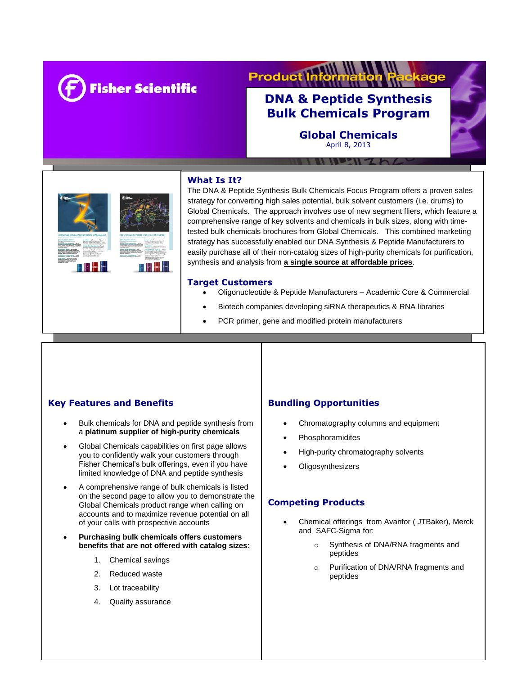

# **Product I** cage

# **DNA & Peptide Synthesis Bulk Chemicals Program**

**Global Chemicals** April 8, 2013



# **What Is It?**

The DNA & Peptide Synthesis Bulk Chemicals Focus Program offers a proven sales strategy for converting high sales potential, bulk solvent customers (i.e. drums) to Global Chemicals. The approach involves use of new segment fliers, which feature a comprehensive range of key solvents and chemicals in bulk sizes, along with timetested bulk chemicals brochures from Global Chemicals. This combined marketing strategy has successfully enabled our DNA Synthesis & Peptide Manufacturers to easily purchase all of their non-catalog sizes of high-purity chemicals for purification, synthesis and analysis from **a single source at affordable prices**.

#### **Target Customers**

ī

- Oligonucleotide & Peptide Manufacturers Academic Core & Commercial
- Biotech companies developing siRNA therapeutics & RNA libraries
- PCR primer, gene and modified protein manufacturers

Synthetic genes & protein manufacturers

## **Key Features and Benefits**

- Bulk chemicals for DNA and peptide synthesis from a **platinum supplier of high-purity chemicals**
- Global Chemicals capabilities on first page allows you to confidently walk your customers through Fisher Chemical's bulk offerings, even if you have limited knowledge of DNA and peptide synthesis
- A comprehensive range of bulk chemicals is listed on the second page to allow you to demonstrate the Global Chemicals product range when calling on accounts and to maximize revenue potential on all of your calls with prospective accounts
- **Purchasing bulk chemicals offers customers benefits that are not offered with catalog sizes**:
	- 1. Chemical savings
	- 2. Reduced waste
	- 3. Lot traceability
	- 4. Quality assurance

## **Bundling Opportunities**

- Chromatography columns and equipment
- Phosphoramidites
- High-purity chromatography solvents
- **Oligosynthesizers**

#### **Competing Products**

- Chemical offerings from Avantor ( JTBaker), Merck and SAFC-Sigma for:
	- o Synthesis of DNA/RNA fragments and peptides
	- o Purification of DNA/RNA fragments and peptides